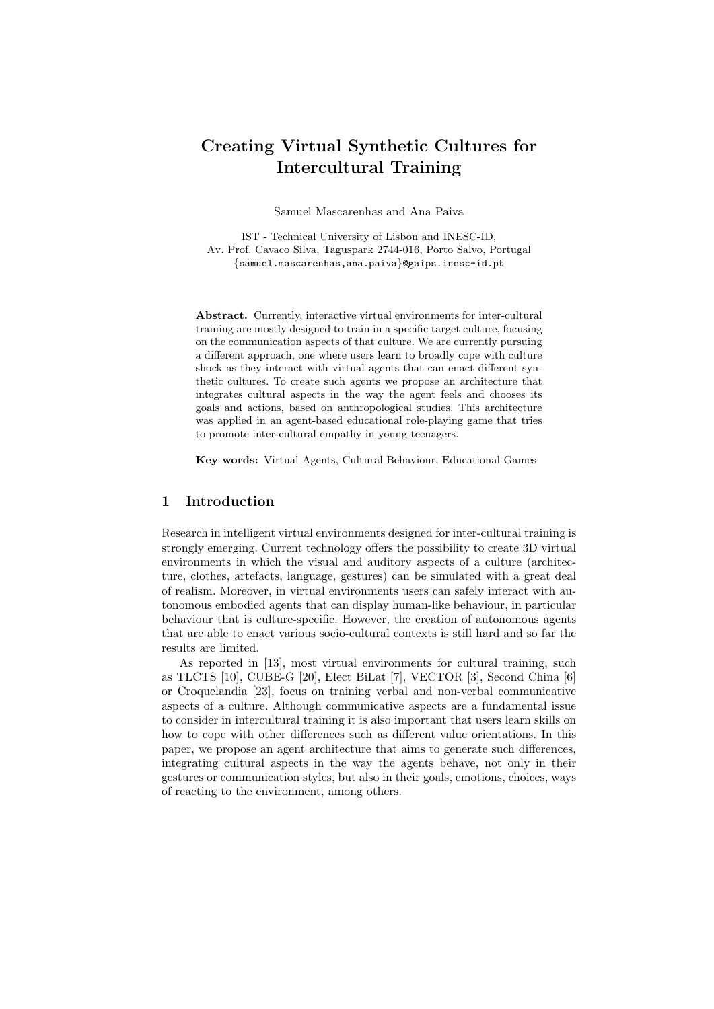# Creating Virtual Synthetic Cultures for Intercultural Training

Samuel Mascarenhas and Ana Paiva

IST - Technical University of Lisbon and INESC-ID, Av. Prof. Cavaco Silva, Taguspark 2744-016, Porto Salvo, Portugal {samuel.mascarenhas,ana.paiva}@gaips.inesc-id.pt

Abstract. Currently, interactive virtual environments for inter-cultural training are mostly designed to train in a specific target culture, focusing on the communication aspects of that culture. We are currently pursuing a different approach, one where users learn to broadly cope with culture shock as they interact with virtual agents that can enact different synthetic cultures. To create such agents we propose an architecture that integrates cultural aspects in the way the agent feels and chooses its goals and actions, based on anthropological studies. This architecture was applied in an agent-based educational role-playing game that tries to promote inter-cultural empathy in young teenagers.

Key words: Virtual Agents, Cultural Behaviour, Educational Games

#### 1 Introduction

Research in intelligent virtual environments designed for inter-cultural training is strongly emerging. Current technology offers the possibility to create 3D virtual environments in which the visual and auditory aspects of a culture (architecture, clothes, artefacts, language, gestures) can be simulated with a great deal of realism. Moreover, in virtual environments users can safely interact with autonomous embodied agents that can display human-like behaviour, in particular behaviour that is culture-specific. However, the creation of autonomous agents that are able to enact various socio-cultural contexts is still hard and so far the results are limited.

As reported in [13], most virtual environments for cultural training, such as TLCTS [10], CUBE-G [20], Elect BiLat [7], VECTOR [3], Second China [6] or Croquelandia [23], focus on training verbal and non-verbal communicative aspects of a culture. Although communicative aspects are a fundamental issue to consider in intercultural training it is also important that users learn skills on how to cope with other differences such as different value orientations. In this paper, we propose an agent architecture that aims to generate such differences, integrating cultural aspects in the way the agents behave, not only in their gestures or communication styles, but also in their goals, emotions, choices, ways of reacting to the environment, among others.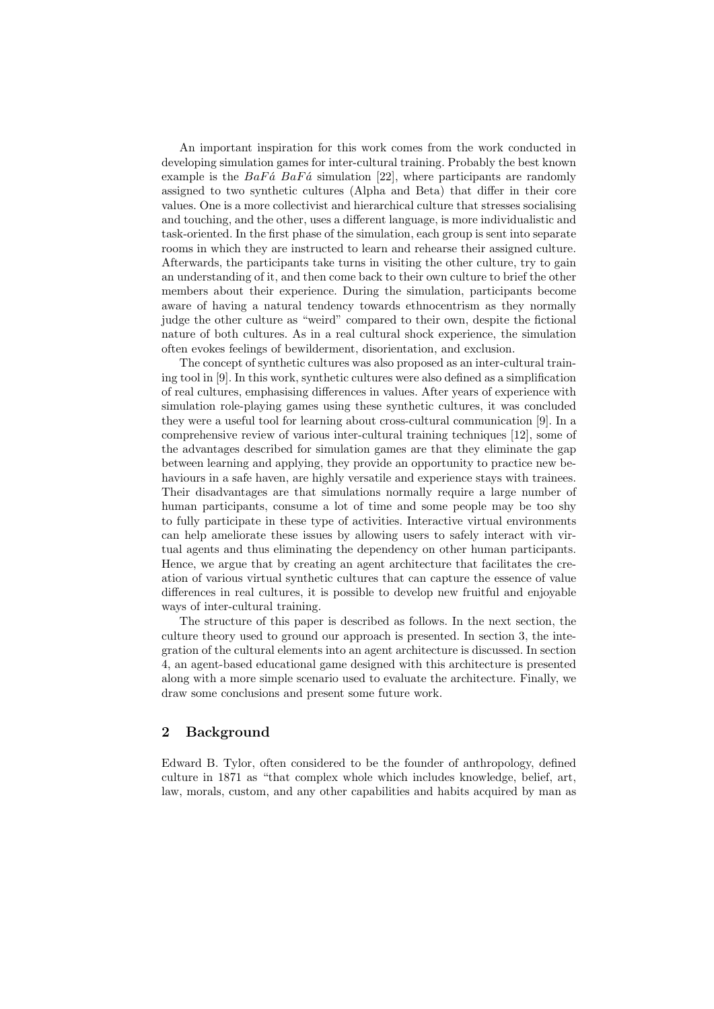An important inspiration for this work comes from the work conducted in developing simulation games for inter-cultural training. Probably the best known example is the  $BaF\acute{a}$  BaF $\acute{a}$  simulation [22], where participants are randomly assigned to two synthetic cultures (Alpha and Beta) that differ in their core values. One is a more collectivist and hierarchical culture that stresses socialising and touching, and the other, uses a different language, is more individualistic and task-oriented. In the first phase of the simulation, each group is sent into separate rooms in which they are instructed to learn and rehearse their assigned culture. Afterwards, the participants take turns in visiting the other culture, try to gain an understanding of it, and then come back to their own culture to brief the other members about their experience. During the simulation, participants become aware of having a natural tendency towards ethnocentrism as they normally judge the other culture as "weird" compared to their own, despite the fictional nature of both cultures. As in a real cultural shock experience, the simulation often evokes feelings of bewilderment, disorientation, and exclusion.

The concept of synthetic cultures was also proposed as an inter-cultural training tool in [9]. In this work, synthetic cultures were also defined as a simplification of real cultures, emphasising differences in values. After years of experience with simulation role-playing games using these synthetic cultures, it was concluded they were a useful tool for learning about cross-cultural communication [9]. In a comprehensive review of various inter-cultural training techniques [12], some of the advantages described for simulation games are that they eliminate the gap between learning and applying, they provide an opportunity to practice new behaviours in a safe haven, are highly versatile and experience stays with trainees. Their disadvantages are that simulations normally require a large number of human participants, consume a lot of time and some people may be too shy to fully participate in these type of activities. Interactive virtual environments can help ameliorate these issues by allowing users to safely interact with virtual agents and thus eliminating the dependency on other human participants. Hence, we argue that by creating an agent architecture that facilitates the creation of various virtual synthetic cultures that can capture the essence of value differences in real cultures, it is possible to develop new fruitful and enjoyable ways of inter-cultural training.

The structure of this paper is described as follows. In the next section, the culture theory used to ground our approach is presented. In section 3, the integration of the cultural elements into an agent architecture is discussed. In section 4, an agent-based educational game designed with this architecture is presented along with a more simple scenario used to evaluate the architecture. Finally, we draw some conclusions and present some future work.

#### 2 Background

Edward B. Tylor, often considered to be the founder of anthropology, defined culture in 1871 as "that complex whole which includes knowledge, belief, art, law, morals, custom, and any other capabilities and habits acquired by man as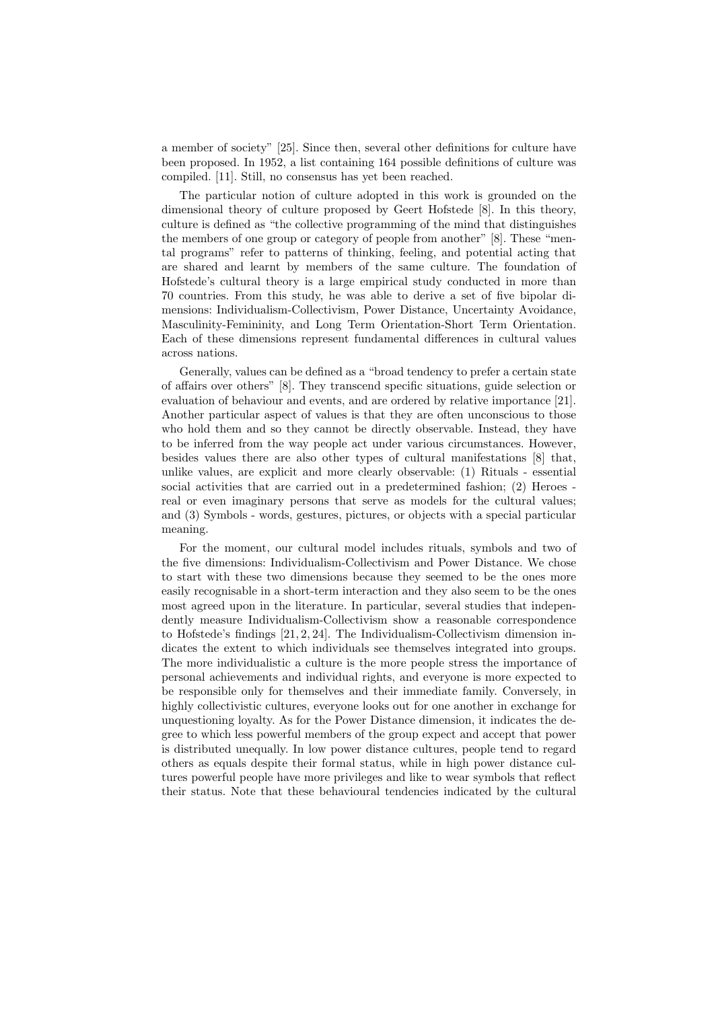a member of society" [25]. Since then, several other definitions for culture have been proposed. In 1952, a list containing 164 possible definitions of culture was compiled. [11]. Still, no consensus has yet been reached.

The particular notion of culture adopted in this work is grounded on the dimensional theory of culture proposed by Geert Hofstede [8]. In this theory, culture is defined as "the collective programming of the mind that distinguishes the members of one group or category of people from another" [8]. These "mental programs" refer to patterns of thinking, feeling, and potential acting that are shared and learnt by members of the same culture. The foundation of Hofstede's cultural theory is a large empirical study conducted in more than 70 countries. From this study, he was able to derive a set of five bipolar dimensions: Individualism-Collectivism, Power Distance, Uncertainty Avoidance, Masculinity-Femininity, and Long Term Orientation-Short Term Orientation. Each of these dimensions represent fundamental differences in cultural values across nations.

Generally, values can be defined as a "broad tendency to prefer a certain state of affairs over others" [8]. They transcend specific situations, guide selection or evaluation of behaviour and events, and are ordered by relative importance [21]. Another particular aspect of values is that they are often unconscious to those who hold them and so they cannot be directly observable. Instead, they have to be inferred from the way people act under various circumstances. However, besides values there are also other types of cultural manifestations [8] that, unlike values, are explicit and more clearly observable: (1) Rituals - essential social activities that are carried out in a predetermined fashion; (2) Heroes real or even imaginary persons that serve as models for the cultural values; and (3) Symbols - words, gestures, pictures, or objects with a special particular meaning.

For the moment, our cultural model includes rituals, symbols and two of the five dimensions: Individualism-Collectivism and Power Distance. We chose to start with these two dimensions because they seemed to be the ones more easily recognisable in a short-term interaction and they also seem to be the ones most agreed upon in the literature. In particular, several studies that independently measure Individualism-Collectivism show a reasonable correspondence to Hofstede's findings [21, 2, 24]. The Individualism-Collectivism dimension indicates the extent to which individuals see themselves integrated into groups. The more individualistic a culture is the more people stress the importance of personal achievements and individual rights, and everyone is more expected to be responsible only for themselves and their immediate family. Conversely, in highly collectivistic cultures, everyone looks out for one another in exchange for unquestioning loyalty. As for the Power Distance dimension, it indicates the degree to which less powerful members of the group expect and accept that power is distributed unequally. In low power distance cultures, people tend to regard others as equals despite their formal status, while in high power distance cultures powerful people have more privileges and like to wear symbols that reflect their status. Note that these behavioural tendencies indicated by the cultural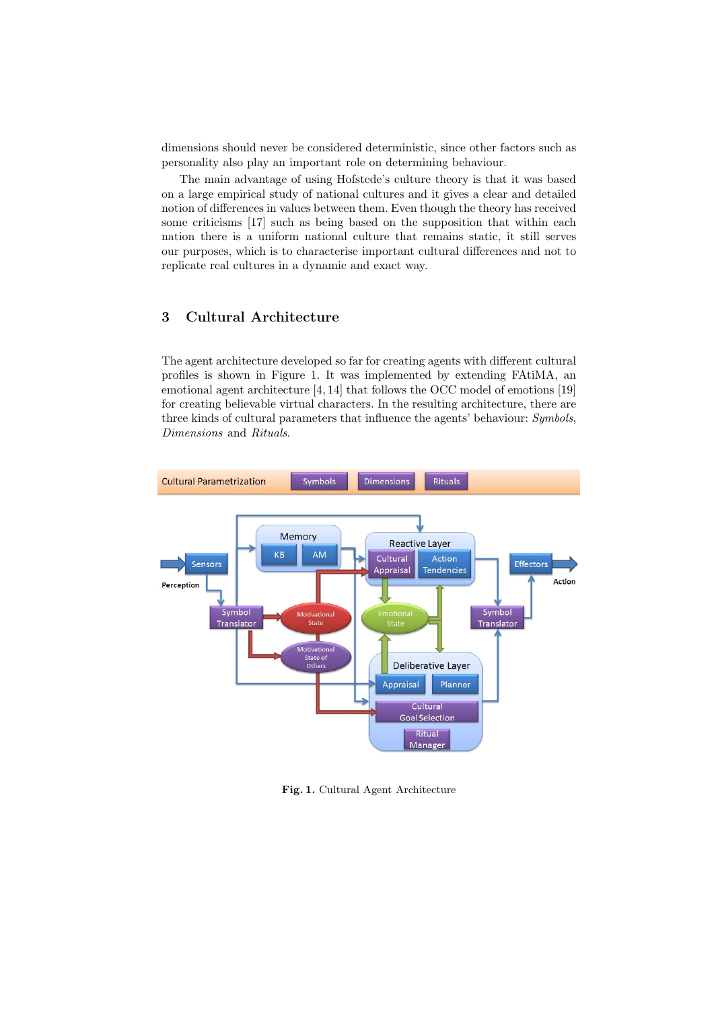dimensions should never be considered deterministic, since other factors such as personality also play an important role on determining behaviour.

The main advantage of using Hofstede's culture theory is that it was based on a large empirical study of national cultures and it gives a clear and detailed notion of differences in values between them. Even though the theory has received some criticisms [17] such as being based on the supposition that within each nation there is a uniform national culture that remains static, it still serves our purposes, which is to characterise important cultural differences and not to replicate real cultures in a dynamic and exact way.

## 3 Cultural Architecture

The agent architecture developed so far for creating agents with different cultural profiles is shown in Figure 1. It was implemented by extending FAtiMA, an emotional agent architecture [4, 14] that follows the OCC model of emotions [19] for creating believable virtual characters. In the resulting architecture, there are three kinds of cultural parameters that influence the agents' behaviour: Symbols, Dimensions and Rituals.



Fig. 1. Cultural Agent Architecture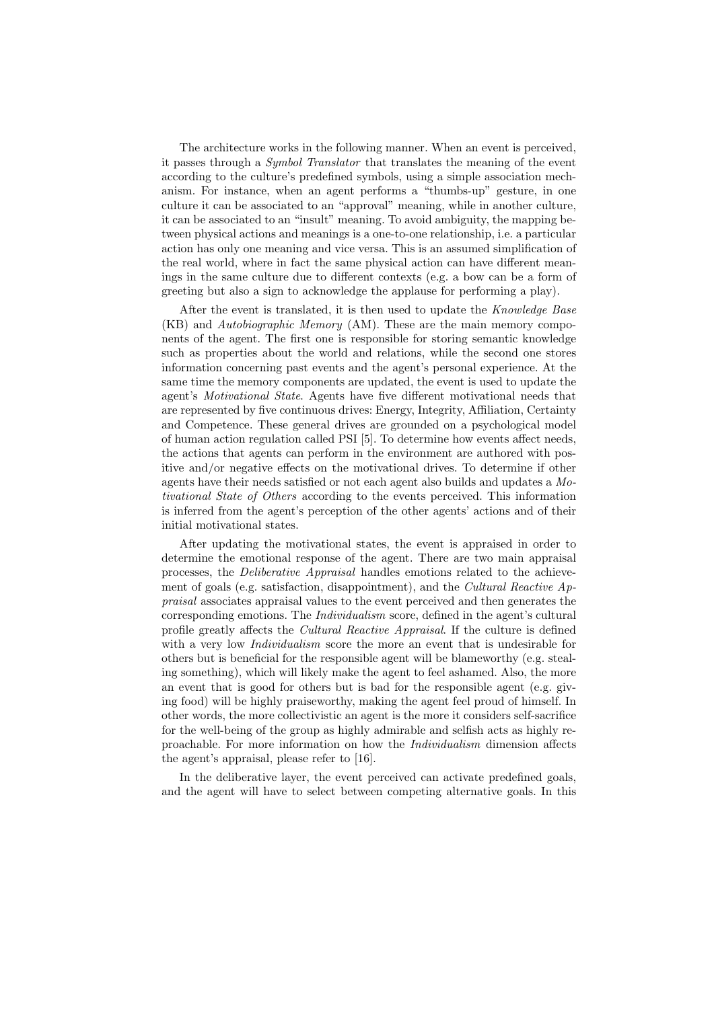The architecture works in the following manner. When an event is perceived, it passes through a Symbol Translator that translates the meaning of the event according to the culture's predefined symbols, using a simple association mechanism. For instance, when an agent performs a "thumbs-up" gesture, in one culture it can be associated to an "approval" meaning, while in another culture, it can be associated to an "insult" meaning. To avoid ambiguity, the mapping between physical actions and meanings is a one-to-one relationship, i.e. a particular action has only one meaning and vice versa. This is an assumed simplification of the real world, where in fact the same physical action can have different meanings in the same culture due to different contexts (e.g. a bow can be a form of greeting but also a sign to acknowledge the applause for performing a play).

After the event is translated, it is then used to update the *Knowledge Base* (KB) and Autobiographic Memory (AM). These are the main memory components of the agent. The first one is responsible for storing semantic knowledge such as properties about the world and relations, while the second one stores information concerning past events and the agent's personal experience. At the same time the memory components are updated, the event is used to update the agent's Motivational State. Agents have five different motivational needs that are represented by five continuous drives: Energy, Integrity, Affiliation, Certainty and Competence. These general drives are grounded on a psychological model of human action regulation called PSI [5]. To determine how events affect needs, the actions that agents can perform in the environment are authored with positive and/or negative effects on the motivational drives. To determine if other agents have their needs satisfied or not each agent also builds and updates a Motivational State of Others according to the events perceived. This information is inferred from the agent's perception of the other agents' actions and of their initial motivational states.

After updating the motivational states, the event is appraised in order to determine the emotional response of the agent. There are two main appraisal processes, the Deliberative Appraisal handles emotions related to the achievement of goals (e.g. satisfaction, disappointment), and the Cultural Reactive Appraisal associates appraisal values to the event perceived and then generates the corresponding emotions. The *Individualism* score, defined in the agent's cultural profile greatly affects the Cultural Reactive Appraisal. If the culture is defined with a very low *Individualism* score the more an event that is undesirable for others but is beneficial for the responsible agent will be blameworthy (e.g. stealing something), which will likely make the agent to feel ashamed. Also, the more an event that is good for others but is bad for the responsible agent (e.g. giving food) will be highly praiseworthy, making the agent feel proud of himself. In other words, the more collectivistic an agent is the more it considers self-sacrifice for the well-being of the group as highly admirable and selfish acts as highly reproachable. For more information on how the Individualism dimension affects the agent's appraisal, please refer to [16].

In the deliberative layer, the event perceived can activate predefined goals, and the agent will have to select between competing alternative goals. In this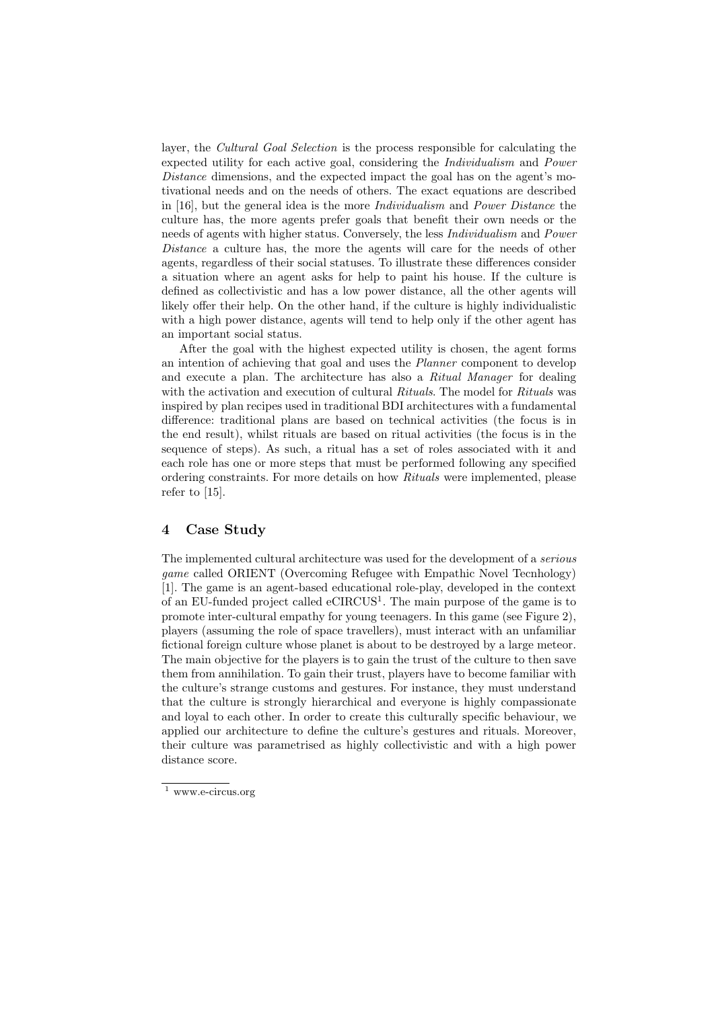layer, the *Cultural Goal Selection* is the process responsible for calculating the expected utility for each active goal, considering the Individualism and Power Distance dimensions, and the expected impact the goal has on the agent's motivational needs and on the needs of others. The exact equations are described in [16], but the general idea is the more Individualism and Power Distance the culture has, the more agents prefer goals that benefit their own needs or the needs of agents with higher status. Conversely, the less Individualism and Power Distance a culture has, the more the agents will care for the needs of other agents, regardless of their social statuses. To illustrate these differences consider a situation where an agent asks for help to paint his house. If the culture is defined as collectivistic and has a low power distance, all the other agents will likely offer their help. On the other hand, if the culture is highly individualistic with a high power distance, agents will tend to help only if the other agent has an important social status.

After the goal with the highest expected utility is chosen, the agent forms an intention of achieving that goal and uses the Planner component to develop and execute a plan. The architecture has also a Ritual Manager for dealing with the activation and execution of cultural Rituals. The model for Rituals was inspired by plan recipes used in traditional BDI architectures with a fundamental difference: traditional plans are based on technical activities (the focus is in the end result), whilst rituals are based on ritual activities (the focus is in the sequence of steps). As such, a ritual has a set of roles associated with it and each role has one or more steps that must be performed following any specified ordering constraints. For more details on how Rituals were implemented, please refer to [15].

#### 4 Case Study

The implemented cultural architecture was used for the development of a serious game called ORIENT (Overcoming Refugee with Empathic Novel Tecnhology) [1]. The game is an agent-based educational role-play, developed in the context of an EU-funded project called eCIRCUS<sup>1</sup>. The main purpose of the game is to promote inter-cultural empathy for young teenagers. In this game (see Figure 2), players (assuming the role of space travellers), must interact with an unfamiliar fictional foreign culture whose planet is about to be destroyed by a large meteor. The main objective for the players is to gain the trust of the culture to then save them from annihilation. To gain their trust, players have to become familiar with the culture's strange customs and gestures. For instance, they must understand that the culture is strongly hierarchical and everyone is highly compassionate and loyal to each other. In order to create this culturally specific behaviour, we applied our architecture to define the culture's gestures and rituals. Moreover, their culture was parametrised as highly collectivistic and with a high power distance score.

<sup>1</sup> www.e-circus.org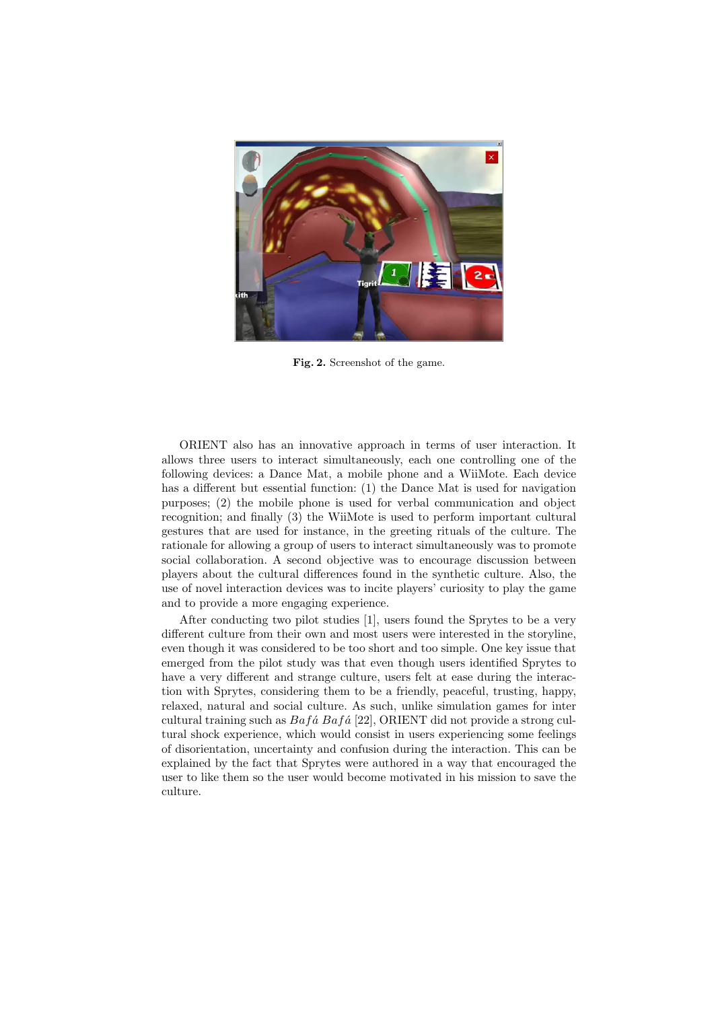

Fig. 2. Screenshot of the game.

ORIENT also has an innovative approach in terms of user interaction. It allows three users to interact simultaneously, each one controlling one of the following devices: a Dance Mat, a mobile phone and a WiiMote. Each device has a different but essential function: (1) the Dance Mat is used for navigation purposes; (2) the mobile phone is used for verbal communication and object recognition; and finally (3) the WiiMote is used to perform important cultural gestures that are used for instance, in the greeting rituals of the culture. The rationale for allowing a group of users to interact simultaneously was to promote social collaboration. A second objective was to encourage discussion between players about the cultural differences found in the synthetic culture. Also, the use of novel interaction devices was to incite players' curiosity to play the game and to provide a more engaging experience.

After conducting two pilot studies [1], users found the Sprytes to be a very different culture from their own and most users were interested in the storyline, even though it was considered to be too short and too simple. One key issue that emerged from the pilot study was that even though users identified Sprytes to have a very different and strange culture, users felt at ease during the interaction with Sprytes, considering them to be a friendly, peaceful, trusting, happy, relaxed, natural and social culture. As such, unlike simulation games for inter cultural training such as  $Baf\acute{a} Ba\acute{f}\acute{a}$  [22], ORIENT did not provide a strong cultural shock experience, which would consist in users experiencing some feelings of disorientation, uncertainty and confusion during the interaction. This can be explained by the fact that Sprytes were authored in a way that encouraged the user to like them so the user would become motivated in his mission to save the culture.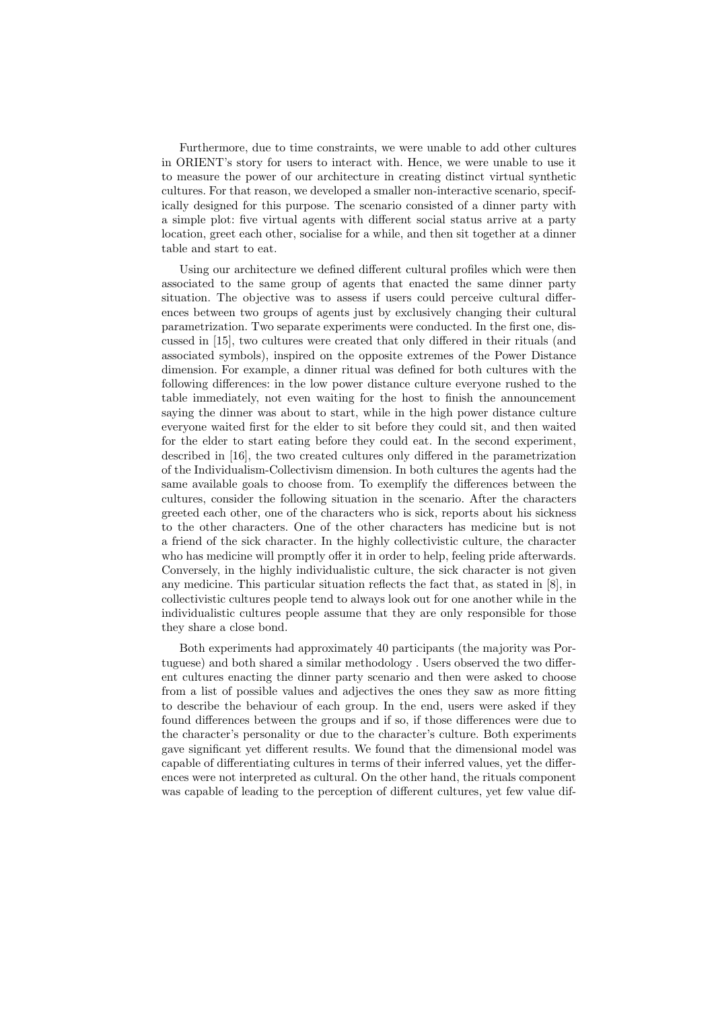Furthermore, due to time constraints, we were unable to add other cultures in ORIENT's story for users to interact with. Hence, we were unable to use it to measure the power of our architecture in creating distinct virtual synthetic cultures. For that reason, we developed a smaller non-interactive scenario, specifically designed for this purpose. The scenario consisted of a dinner party with a simple plot: five virtual agents with different social status arrive at a party location, greet each other, socialise for a while, and then sit together at a dinner table and start to eat.

Using our architecture we defined different cultural profiles which were then associated to the same group of agents that enacted the same dinner party situation. The objective was to assess if users could perceive cultural differences between two groups of agents just by exclusively changing their cultural parametrization. Two separate experiments were conducted. In the first one, discussed in [15], two cultures were created that only differed in their rituals (and associated symbols), inspired on the opposite extremes of the Power Distance dimension. For example, a dinner ritual was defined for both cultures with the following differences: in the low power distance culture everyone rushed to the table immediately, not even waiting for the host to finish the announcement saying the dinner was about to start, while in the high power distance culture everyone waited first for the elder to sit before they could sit, and then waited for the elder to start eating before they could eat. In the second experiment, described in [16], the two created cultures only differed in the parametrization of the Individualism-Collectivism dimension. In both cultures the agents had the same available goals to choose from. To exemplify the differences between the cultures, consider the following situation in the scenario. After the characters greeted each other, one of the characters who is sick, reports about his sickness to the other characters. One of the other characters has medicine but is not a friend of the sick character. In the highly collectivistic culture, the character who has medicine will promptly offer it in order to help, feeling pride afterwards. Conversely, in the highly individualistic culture, the sick character is not given any medicine. This particular situation reflects the fact that, as stated in [8], in collectivistic cultures people tend to always look out for one another while in the individualistic cultures people assume that they are only responsible for those they share a close bond.

Both experiments had approximately 40 participants (the majority was Portuguese) and both shared a similar methodology . Users observed the two different cultures enacting the dinner party scenario and then were asked to choose from a list of possible values and adjectives the ones they saw as more fitting to describe the behaviour of each group. In the end, users were asked if they found differences between the groups and if so, if those differences were due to the character's personality or due to the character's culture. Both experiments gave significant yet different results. We found that the dimensional model was capable of differentiating cultures in terms of their inferred values, yet the differences were not interpreted as cultural. On the other hand, the rituals component was capable of leading to the perception of different cultures, yet few value dif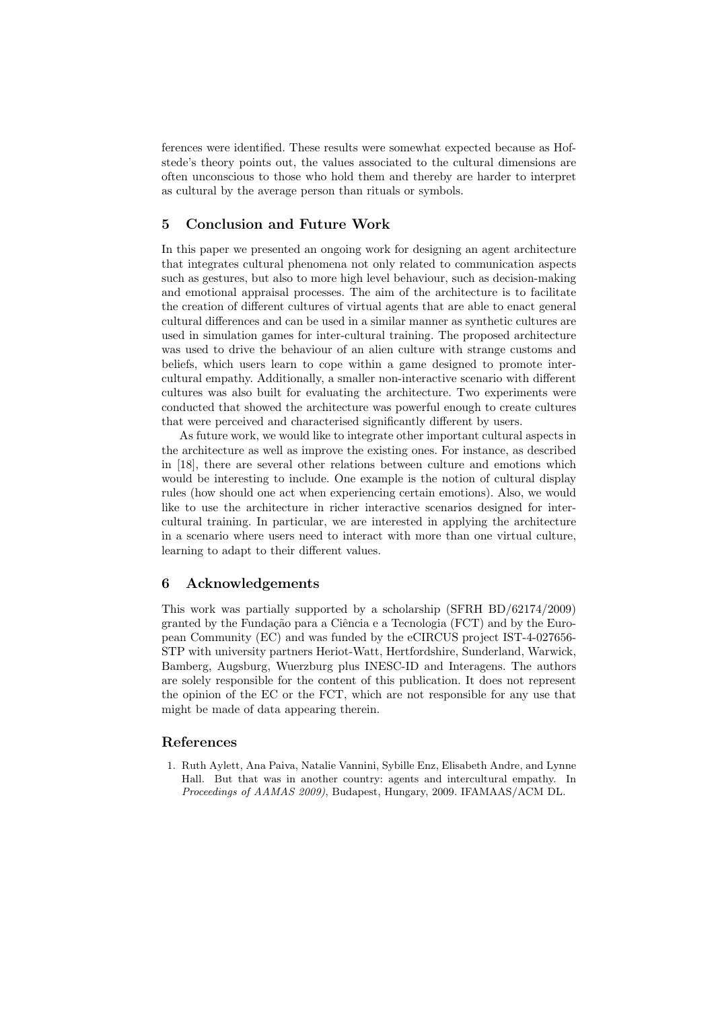ferences were identified. These results were somewhat expected because as Hofstede's theory points out, the values associated to the cultural dimensions are often unconscious to those who hold them and thereby are harder to interpret as cultural by the average person than rituals or symbols.

### 5 Conclusion and Future Work

In this paper we presented an ongoing work for designing an agent architecture that integrates cultural phenomena not only related to communication aspects such as gestures, but also to more high level behaviour, such as decision-making and emotional appraisal processes. The aim of the architecture is to facilitate the creation of different cultures of virtual agents that are able to enact general cultural differences and can be used in a similar manner as synthetic cultures are used in simulation games for inter-cultural training. The proposed architecture was used to drive the behaviour of an alien culture with strange customs and beliefs, which users learn to cope within a game designed to promote intercultural empathy. Additionally, a smaller non-interactive scenario with different cultures was also built for evaluating the architecture. Two experiments were conducted that showed the architecture was powerful enough to create cultures that were perceived and characterised significantly different by users.

As future work, we would like to integrate other important cultural aspects in the architecture as well as improve the existing ones. For instance, as described in [18], there are several other relations between culture and emotions which would be interesting to include. One example is the notion of cultural display rules (how should one act when experiencing certain emotions). Also, we would like to use the architecture in richer interactive scenarios designed for intercultural training. In particular, we are interested in applying the architecture in a scenario where users need to interact with more than one virtual culture, learning to adapt to their different values.

#### 6 Acknowledgements

This work was partially supported by a scholarship (SFRH BD/62174/2009) granted by the Fundação para a Ciência e a Tecnologia (FCT) and by the European Community (EC) and was funded by the eCIRCUS project IST-4-027656- STP with university partners Heriot-Watt, Hertfordshire, Sunderland, Warwick, Bamberg, Augsburg, Wuerzburg plus INESC-ID and Interagens. The authors are solely responsible for the content of this publication. It does not represent the opinion of the EC or the FCT, which are not responsible for any use that might be made of data appearing therein.

#### References

1. Ruth Aylett, Ana Paiva, Natalie Vannini, Sybille Enz, Elisabeth Andre, and Lynne Hall. But that was in another country: agents and intercultural empathy. In Proceedings of AAMAS 2009), Budapest, Hungary, 2009. IFAMAAS/ACM DL.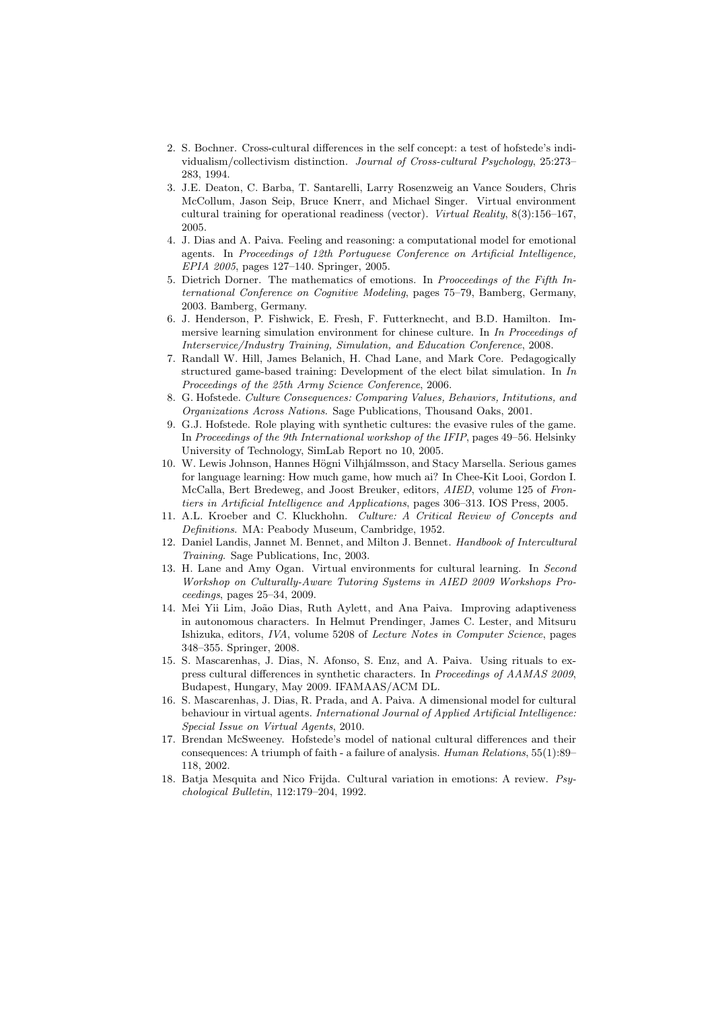- 2. S. Bochner. Cross-cultural differences in the self concept: a test of hofstede's individualism/collectivism distinction. Journal of Cross-cultural Psychology, 25:273– 283, 1994.
- 3. J.E. Deaton, C. Barba, T. Santarelli, Larry Rosenzweig an Vance Souders, Chris McCollum, Jason Seip, Bruce Knerr, and Michael Singer. Virtual environment cultural training for operational readiness (vector). Virtual Reality, 8(3):156–167, 2005.
- 4. J. Dias and A. Paiva. Feeling and reasoning: a computational model for emotional agents. In Proceedings of 12th Portuguese Conference on Artificial Intelligence, EPIA 2005, pages 127–140. Springer, 2005.
- 5. Dietrich Dorner. The mathematics of emotions. In Prooceedings of the Fifth International Conference on Cognitive Modeling, pages 75–79, Bamberg, Germany, 2003. Bamberg, Germany.
- 6. J. Henderson, P. Fishwick, E. Fresh, F. Futterknecht, and B.D. Hamilton. Immersive learning simulation environment for chinese culture. In In Proceedings of Interservice/Industry Training, Simulation, and Education Conference, 2008.
- 7. Randall W. Hill, James Belanich, H. Chad Lane, and Mark Core. Pedagogically structured game-based training: Development of the elect bilat simulation. In In Proceedings of the 25th Army Science Conference, 2006.
- 8. G. Hofstede. Culture Consequences: Comparing Values, Behaviors, Intitutions, and Organizations Across Nations. Sage Publications, Thousand Oaks, 2001.
- 9. G.J. Hofstede. Role playing with synthetic cultures: the evasive rules of the game. In Proceedings of the 9th International workshop of the IFIP, pages 49–56. Helsinky University of Technology, SimLab Report no 10, 2005.
- 10. W. Lewis Johnson, Hannes Högni Vilhjálmsson, and Stacy Marsella. Serious games for language learning: How much game, how much ai? In Chee-Kit Looi, Gordon I. McCalla, Bert Bredeweg, and Joost Breuker, editors, AIED, volume 125 of Frontiers in Artificial Intelligence and Applications, pages 306–313. IOS Press, 2005.
- 11. A.L. Kroeber and C. Kluckhohn. Culture: A Critical Review of Concepts and Definitions. MA: Peabody Museum, Cambridge, 1952.
- 12. Daniel Landis, Jannet M. Bennet, and Milton J. Bennet. Handbook of Intercultural Training. Sage Publications, Inc, 2003.
- 13. H. Lane and Amy Ogan. Virtual environments for cultural learning. In Second Workshop on Culturally-Aware Tutoring Systems in AIED 2009 Workshops Proceedings, pages 25–34, 2009.
- 14. Mei Yii Lim, João Dias, Ruth Aylett, and Ana Paiva. Improving adaptiveness in autonomous characters. In Helmut Prendinger, James C. Lester, and Mitsuru Ishizuka, editors, IVA, volume 5208 of Lecture Notes in Computer Science, pages 348–355. Springer, 2008.
- 15. S. Mascarenhas, J. Dias, N. Afonso, S. Enz, and A. Paiva. Using rituals to express cultural differences in synthetic characters. In Proceedings of AAMAS 2009, Budapest, Hungary, May 2009. IFAMAAS/ACM DL.
- 16. S. Mascarenhas, J. Dias, R. Prada, and A. Paiva. A dimensional model for cultural behaviour in virtual agents. International Journal of Applied Artificial Intelligence: Special Issue on Virtual Agents, 2010.
- 17. Brendan McSweeney. Hofstede's model of national cultural differences and their consequences: A triumph of faith - a failure of analysis. Human Relations, 55(1):89– 118, 2002.
- 18. Batja Mesquita and Nico Frijda. Cultural variation in emotions: A review. Psychological Bulletin, 112:179–204, 1992.